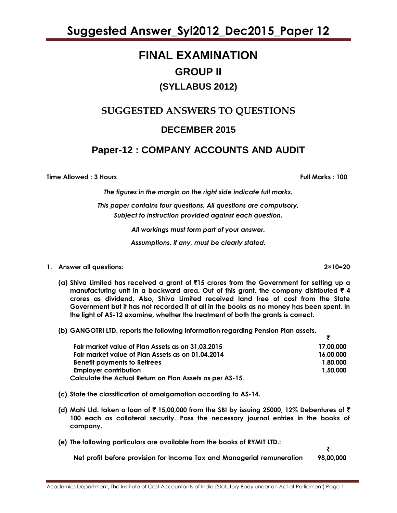### **FINAL EXAMINATION GROUP II (SYLLABUS 2012)**

### **SUGGESTED ANSWERS TO QUESTIONS**

### **DECEMBER 2015**

### **Paper-12 : COMPANY ACCOUNTS AND AUDIT**

**Time Allowed : 3 Hours Full Marks : 100**

*The figures in the margin on the right side indicate full marks.*

*This paper contains four questions. All questions are compulsory, Subject to instruction provided against each question.*

*All workings must form part of your answer.*

*Assumptions, if any, must be clearly stated.*

#### **1. Answer all questions: 2×10=20**

- **(a) Shiva Limited has received a grant of** `**15 crores from the Government for setting up a manufacturing unit in a backward area. Out of this grant, the company distributed** ` **4 crores as dividend. Also, Shiva Limited received land free of cost from the State Government but it has not recorded it at all in the books as no money has been spent. In the light of AS-12 examine, whether the treatment of both the grants is correct.**
- **(b) GANGOTRI LTD. reports the following information regarding Pension Plan assets.**

| Fair market value of Plan Assets as on 31.03.2015        | 17,00,000 |
|----------------------------------------------------------|-----------|
| Fair market value of Plan Assets as on 01.04.2014        | 16.00.000 |
| <b>Benefit payments to Retirees</b>                      | 1.80.000  |
| <b>Employer contribution</b>                             | 1.50.000  |
| Calculate the Actual Return on Plan Assets as per AS-15. |           |

- **(c) State the classification of amalgamation according to AS-14.**
- **(d) Mahi Ltd. taken a loan of** ` **15,00,000 from the SBI by issuing 25000, 12% Debentures of** ` **100 each as collateral security. Pass the necessary journal entries in the books of company.**
- **(e) The following particulars are available from the books of RYMIT LTD.:**

**Net profit before provision for Income Tax and Managerial remuneration 98,00,000**

₹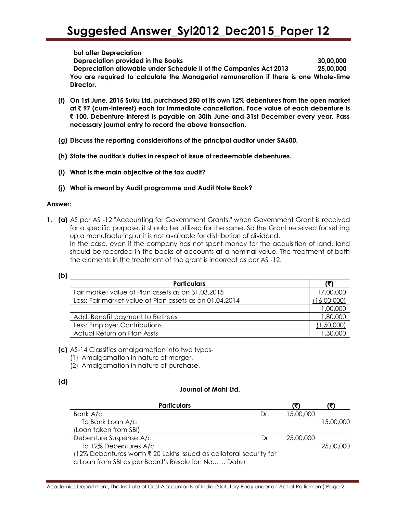#### **but after Depreciation**

**Depreciation provided in the Books 30,00,000 Depreciation allowable under Schedule II of the Companies Act 2013 25,00,000 You are required to calculate the Managerial remuneration if there is one Whole-time Director.**

- **(f) On 1st June, 2015 Suku Ltd. purchased 250 of its own 12% debentures from the open market at** ` **97 (cum-interest) each for immediate cancellation. Face value of each debenture is**  ` **100. Debenture interest is payable on 30th June and 31st December every year. Pass necessary journal entry to record the above transaction.**
- **(g) Discuss the reporting considerations of the principal auditor under SA600.**
- **(h) State the auditor's duties in respect of issue of redeemable debentures.**
- **(i) What is the main objective of the tax audit?**
- **(j) What is meant by Audit programme and Audit Note Book?**

#### **Answer:**

**1. (a)** AS per AS -12 "Accounting for Government Grants," when Government Grant is received for a specific purpose, it should be utilized for the same. So the Grant received for setting up a manufacturing unit is not available for distribution of dividend. In the case, even if the company has not spent money for the acquisition of land, land should be recorded in the books of accounts at a nominal value. The treatment of both the elements in the treatment of the grant is incorrect as per AS -12.

| v            |  |
|--------------|--|
| ۰,<br>$\sim$ |  |

| <b>Particulars</b>                                      | (?)       |
|---------------------------------------------------------|-----------|
| Fair market value of Plan assets as on 31.03.2015       | 17,00,000 |
| Less: Fair market value of Plan assets as on 01.04.2014 |           |
|                                                         | 1,00,000  |
| Add: Benefit payment to Retirees                        | 1,80,000  |
| Less: Employer Contributions                            | ,50,000   |
| Actual Return on Plan Assts                             |           |

- **(c)** AS-14 Classifies amalgamation into two types-
	- (1) Amalgamation in nature of merger,
	- (2) Amalgamation in nature of purchase.

#### **(d)**

#### **Journal of Mahi Ltd.**

| <b>Particulars</b>                                                 |     |           |           |
|--------------------------------------------------------------------|-----|-----------|-----------|
| Bank A/c                                                           | Dr. | 15,00,000 |           |
| To Bank Loan A/c                                                   |     |           | 15,00,000 |
| (Loan taken from SBI)                                              |     |           |           |
| Debenture Suspense A/c                                             | Dr. | 25,00,000 |           |
| To 12% Debentures A/c                                              |     |           | 25,00,000 |
| (12% Debentures worth ₹ 20 Lakhs issued as collateral security for |     |           |           |
| a Loan from SBI as per Board's Resolution No Date)                 |     |           |           |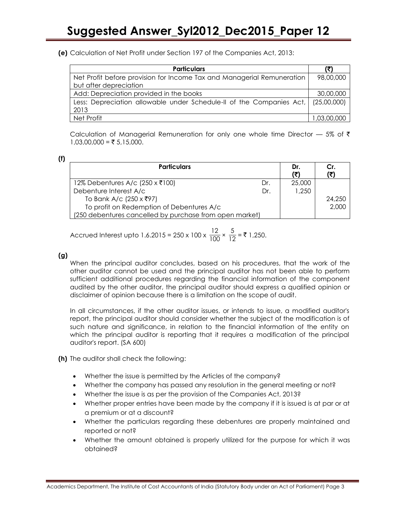**(e)** Calculation of Net Profit under Section 197 of the Companies Act, 2013:

| <b>Particulars</b>                                                               | (₹)         |
|----------------------------------------------------------------------------------|-------------|
| Net Profit before provision for Income Tax and Managerial Remuneration           | 98,00,000   |
| but after depreciation                                                           |             |
| Add: Depreciation provided in the books                                          | 30,00,000   |
| Less: Depreciation allowable under Schedule-II of the Companies Act, (25,00,000) |             |
| 2013                                                                             |             |
| Net Profit                                                                       | 1,03,00,000 |

Calculation of Managerial Remuneration for only one whole time Director  $-$  5% of  $\bar{\tau}$  $1,03,00,000 = ₹ 5,15,000.$ 

| <b>Particulars</b>                                      |     | Dr.<br>(₹ | Cr.    |
|---------------------------------------------------------|-----|-----------|--------|
| 12% Debentures A/c (250 x ₹100)                         | Dr. | 25,000    |        |
| Debenture Interest A/c                                  | Dr. | 1,250     |        |
| To Bank A/c (250 x ₹97)                                 |     |           | 24,250 |
| To profit on Redemption of Debentures A/c               |     |           | 2,000  |
| (250 debentures cancelled by purchase from open market) |     |           |        |

Accrued Interest upto 1.6.2015 = 250 x 100 x  $\frac{12}{100}$  $\frac{12}{100} \times \frac{5}{12}$  $\frac{6}{12}$  = ₹ 1,250.

#### **(g)**

When the principal auditor concludes, based on his procedures, that the work of the other auditor cannot be used and the principal auditor has not been able to perform sufficient additional procedures regarding the financial information of the component audited by the other auditor, the principal auditor should express a qualified opinion or disclaimer of opinion because there is a limitation on the scope of audit.

In all circumstances, if the other auditor issues, or intends to issue, a modified auditor's report, the principal auditor should consider whether the subject of the modification is of such nature and significance, in relation to the financial information of the entity on which the principal auditor is reporting that it requires a modification of the principal auditor's report. (SA 600)

**(h)** The auditor shall check the following:

- Whether the issue is permitted by the Articles of the company?
- Whether the company has passed any resolution in the general meeting or not?
- Whether the issue is as per the provision of the Companies Act, 2013?
- Whether proper entries have been made by the company if it is issued is at par or at a premium or at a discount?
- Whether the particulars regarding these debentures are properly maintained and reported or not?
- Whether the amount obtained is properly utilized for the purpose for which it was obtained?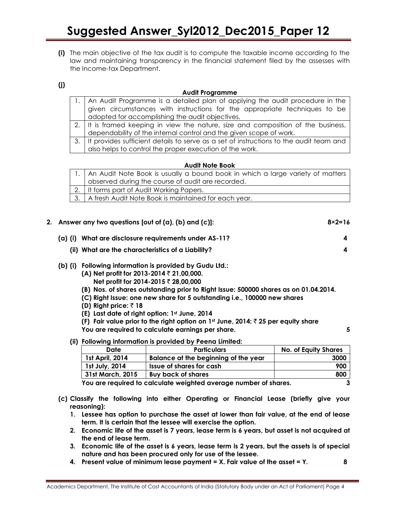**(i)** The main objective of the tax audit is to compute the taxable income according to the law and maintaining transparency in the financial statement filed by the assesses with the Income-tax Department.

**(j)**

#### **Audit Programme**

| 1. An Audit Programme is a detailed plan of applying the audit procedure in the           |  |
|-------------------------------------------------------------------------------------------|--|
| given circumstances with instructions for the appropriate techniques to be                |  |
| adopted for accomplishing the audit objectives.                                           |  |
| 2. It is framed keeping in view the nature, size and composition of the business,         |  |
| dependability of the internal control and the given scope of work.                        |  |
| 3. It provides sufficient details to serve as a set of instructions to the audit team and |  |
| also helps to control the proper execution of the work.                                   |  |

#### **Audit Note Book**

| 1.   An Audit Note Book is usually a bound book in which a large variety of matters |
|-------------------------------------------------------------------------------------|
| observed during the course of audit are recorded.                                   |
| 2. It forms part of Audit Working Papers.                                           |
| 3.   A fresh Audit Note Book is maintained for each year.                           |

| 2. Answer any two questions [out of (a), (b) and (c)]:<br>$8 \times 2 = 16$          |   |
|--------------------------------------------------------------------------------------|---|
| What are disclosure requirements under AS-11?<br>(a) (i)                             | 4 |
| (ii) What are the characteristics of a Liability?                                    | 4 |
| Following information is provided by Gudu Ltd.:<br>(b) (i)                           |   |
| (A) Net profit for 2013-2014 $\bar{\tau}$ 21,00,000.                                 |   |
| Net profit for 2014-2015 ₹ 28,00,000                                                 |   |
| (B) Nos. of shares outstanding prior to Right Issue: 500000 shares as on 01.04.2014. |   |

- **(C) Right Issue: one new share for 5 outstanding i.e., 100000 new shares**
- **(D) Right price:** ` **18**
- **(E) Last date of right option: 1st June, 2014**
- **(F) Fair value prior to the right option on 1st June, 2014:** ` **25 per equity share**

**You are required to calculate earnings per share. 5**

**(ii) Following information is provided by Peena Limited:**

| Date                                                                                               | <b>Particulars</b>                   | <b>No. of Equity Shares</b> |
|----------------------------------------------------------------------------------------------------|--------------------------------------|-----------------------------|
| 1st April, 2014                                                                                    | Balance at the beginning of the year | 3000                        |
| 1st July, 2014                                                                                     | <b>Issue of shares for cash</b>      | 900                         |
| 31st March, 2015                                                                                   | <b>Buy back of shares</b>            | 800                         |
| المتوسط والمناقب ستمتع ويستنقذ والمتحدث والمستحدث والمستحدث والمستحدث والمستحدث والمستحدث والمتحدث | ◠                                    |                             |

**You are required to calculate weighted average number of shares. 3**

- **(c) Classify the following into either Operating or Financial Lease (briefly give your reasoning):**
	- **1. Lessee has option to purchase the asset at lower than fair value, at the end of lease term. It is certain that the lessee will exercise the option.**
	- **2. Economic life of the asset is 7 years, lease term is 6 years, but asset is not acquired at the end of lease term.**
	- **3. Economic life of the asset is 6 years, lease term is 2 years, but the assets is of special nature and has been procured only for use of the lessee.**
	- **4. Present value of minimum lease payment = X. Fair value of the asset = Y. 8**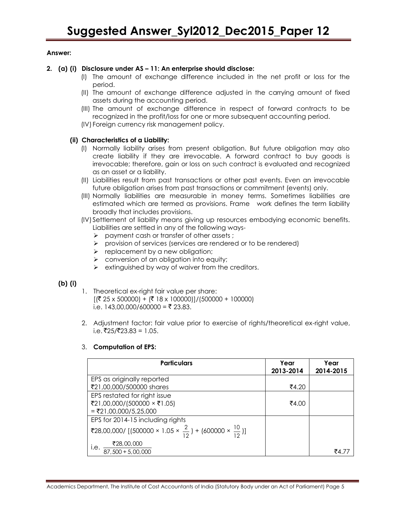#### **Answer:**

#### **2. (a) (i) Disclosure under AS – 11: An enterprise should disclose:**

- (I) The amount of exchange difference included in the net profit or loss for the period.
- (II) The amount of exchange difference adjusted in the carrying amount of fixed assets during the accounting period.
- (III) The amount of exchange difference in respect of forward contracts to be recognized in the profit/loss for one or more subsequent accounting period.
- (IV) Foreign currency risk management policy.

#### **(ii) Characteristics of a Liability:**

- (I) Normally liability arises from present obligation. But future obligation may also create liability if they are irrevocable. A forward contract to buy goods is irrevocable; therefore, gain or loss on such contract is evaluated and recognized as an asset or a liability.
- (II) Liabilities result from past transactions or other past events. Even an irrevocable future obligation arises from past transactions or commitment (events) only.
- (III) Normally liabilities are measurable in money terms. Sometimes liabilities are estimated which are termed as provisions. Frame work defines the term liability broadly that includes provisions.
- (IV) Settlement of liability means giving up resources embodying economic benefits. Liabilities are settled in any of the following ways-
	- $\triangleright$  payment cash or transfer of other assets ;
	- $\triangleright$  provision of services (services are rendered or to be rendered)
	- $\triangleright$  replacement by a new obligation;
	- $\triangleright$  conversion of an obligation into equity;
	- $\triangleright$  extinguished by way of waiver from the creditors.

#### **(b) (i)**

- 1. Theoretical ex-right fair value per share:  $[(\overline{$} 25 \times 500000) + (\overline{$} 18 \times 100000)]/(500000 + 100000)]$ i.e. 143,00,000/600000 = ₹ 23.83.
- 2. Adjustment factor: fair value prior to exercise of rights/theoretical ex-right value,  $i.e.$ ₹25/₹23.83 = 1.05.

#### 3. **Computation of EPS:**

| <b>Particulars</b>                                                            | Year<br>2013-2014 | Year<br>2014-2015 |
|-------------------------------------------------------------------------------|-------------------|-------------------|
| EPS as originally reported                                                    |                   |                   |
| ₹21,00,000/500000 shares                                                      | ₹4.20             |                   |
| EPS restated for right issue                                                  |                   |                   |
| ₹21,00,000/(500000 × ₹1.05)                                                   | ₹4.00             |                   |
| $= ₹21,00,000/5,25,000$                                                       |                   |                   |
| EPS for 2014-15 including rights                                              |                   |                   |
| ₹28,00,000/ [(500000 × 1.05 × $\frac{2}{12}$ ) + (600000 × $\frac{10}{12}$ )] |                   |                   |
| $\frac{$28,00,000}{87,500+5,00,000}$<br>i.e.                                  |                   |                   |
|                                                                               |                   | ₹4.77             |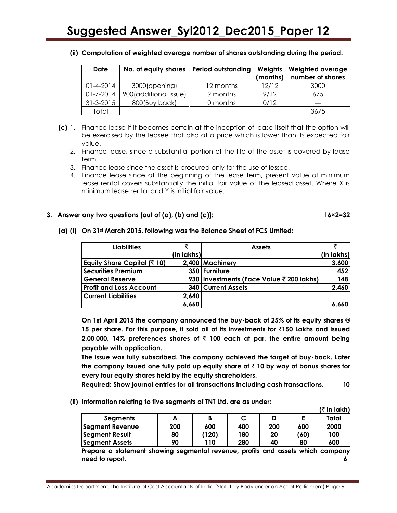| Date            | No. of equity shares   Period outstanding |           | Weights<br>(months) | Weighted average<br>number of shares |
|-----------------|-------------------------------------------|-----------|---------------------|--------------------------------------|
| $01 - 4 - 2014$ | 3000(opening)                             | 12 months | 12/12               | 3000                                 |
| $01 - 7 - 2014$ | 900(additional issue)                     | 9 months  | 9/12                | 675                                  |
| $31 - 3 - 2015$ | 800(Buy back)                             | 0 months  | 0/12                |                                      |
| Total           |                                           |           |                     | 3675                                 |

**(ii) Computation of weighted average number of shares outstanding during the period:**

- **(c)** 1. Finance lease if it becomes certain at the inception of lease itself that the option will be exercised by the leasee that also at a price which is lower than its expected fair value.
	- 2. Finance lease, since a substantial portion of the life of the asset is covered by lease term.
	- 3. Finance lease since the asset is procured only for the use of lessee.
	- 4. Finance lease since at the beginning of the lease term, present value of minimum lease rental covers substantially the initial fair value of the leased asset. Where X is minimum lease rental and Y is initial fair value.

#### **3. Answer any two questions [out of (a), (b) and (c)]: 16×2=32**

#### **Liabilities** ` **(in lakhs) Assets** ` **(in lakhs) Equity Share Capital (**` **10) 2,400 Machinery 3,600 Securities Premium 350 Furniture 452 General Reserve 930 Investments (Face Value** ` **200 lakhs) 148 Profit and Loss Account 340 Current Assets 2,460 Current Liabilities 2,640 6,660 6,660**

**(a) (i) On 31st March 2015, following was the Balance Sheet of FCS Limited:**

**On 1st April 2015 the company announced the buy-back of 25% of its equity shares @ 15 per share. For this purpose, it sold all of its investments for** `**150 Lakhs and issued 2,00,000, 14% preferences shares of** ` **100 each at par, the entire amount being payable with application.**

**The issue was fully subscribed. The company achieved the target of buy-back. Later the company issued one fully paid up equity share of** ` **10 by way of bonus shares for every four equity shares held by the equity shareholders.**

**Required: Show journal entries for all transactions including cash transactions. 10**

**(ii) Information relating to five segments of TNT Ltd. are as under:**

|                                                                                 |     |       |     |     |      | (₹ in lakh) |  |
|---------------------------------------------------------------------------------|-----|-------|-----|-----|------|-------------|--|
| <b>Segments</b>                                                                 | A   | B     |     | D   | Ε    | Total       |  |
| <b>Segment Revenue</b>                                                          | 200 | 600   | 400 | 200 | 600  | 2000        |  |
| <b>Segment Result</b>                                                           | 80  | (120) | 180 | 20  | (60) | 100         |  |
| <b>Segment Assets</b>                                                           | 90  | 110   | 280 | 40  | 80   | 600         |  |
| Prepare a statement showing segmental revenue, profits and assets which company |     |       |     |     |      |             |  |
| need to report.                                                                 |     |       |     |     |      |             |  |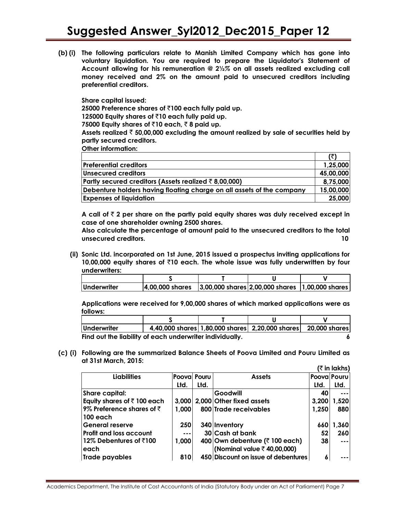**(b) (i) The following particulars relate to Manish Limited Company which has gone into voluntary liquidation. You are required to prepare the Liquidator's Statement of Account allowing for his remuneration @ 2½***%* **on all assets realized excluding call money received and 2% on the amount paid to unsecured creditors including preferential creditors.**

**Share capital issued: 25000 Preference shares of** `**100 each fully paid up. 125000 Equity shares of** `**10 each fully paid up.** 

**75000 Equity shares of**  $\bar{x}$ **10 each,**  $\bar{x}$  **8 paid up.** 

**Assets realized** ` **50,00,000 excluding the amount realized by sale of securities held by partly secured creditors.**

**Other information:**

| <b>Preferential creditors</b>                                         | 1,25,000  |
|-----------------------------------------------------------------------|-----------|
| Unsecured creditors                                                   | 45,00,000 |
| Partly secured creditors (Assets realized $\bar{\tau}$ 8,00,000)      | 8,75,000  |
| Debenture holders having floating charge on all assets of the company | 15,00,000 |
| <b>Expenses of liquidation</b>                                        | 25,000    |

**A call of** ` **2 per share on the partly paid equity shares was duly received except in case of one shareholder owning 2500 shares.**

**Also calculate the percentage of amount paid to the unsecured creditors to the total unsecured creditors. 10**

**(ii) Sonic Ltd. incorporated on 1st June, 2015 issued a prospectus inviting applications for 10,00,000 equity shares of** `**10 each. The whole issue was fully underwritten by four underwriters:**

| Underwriter | $ 4,00,000$ shares $ 3,00,000$ shares $ 2,00,000$ shares $ 1,00,000$ shares |  |  |
|-------------|-----------------------------------------------------------------------------|--|--|

**Applications were received for 9,00,000 shares of which marked applications were as follows:**

| Underwriter                                              |  | 4,40,000 shares 1,80,000 shares 2,20,000 shares | 20,000 shares |
|----------------------------------------------------------|--|-------------------------------------------------|---------------|
| Find out the liability of each underwriter individually. |  |                                                 |               |

**(c) (i) Following are the summarized Balance Sheets of Poova Limited and Pouru Limited as at 31st March, 2015:**

|                                        |              |      |                                            |             | (₹ in lakhs) |
|----------------------------------------|--------------|------|--------------------------------------------|-------------|--------------|
| <b>Liabilities</b>                     | Pooval Pouru |      | <b>Assets</b>                              | Poova Pouru |              |
|                                        | Ltd.         | Ltd. |                                            | Ltd.        | Ltd.         |
| <b>Share capital:</b>                  |              |      | Goodwill                                   | 40          | $- - -$      |
| Equity shares of $\bar{\tau}$ 100 each |              |      | 3,000   2,000   Other fixed assets         | 3,200       | 1,520        |
| 9% Preference shares of $\bar{z}$      | 1.000        |      | 800 Trade receivables                      | 1,250       | 880          |
| 100 each                               |              |      |                                            |             |              |
| General reserve                        | 250          |      | 340 Inventory                              | 660         | 1,360        |
| <b>Profit and loss account</b>         | $- - -$      |      | 30 Cash at bank                            | 52          | 260          |
| 12% Debentures of ₹100                 | 1,000        |      | 400 Own debenture ( $\bar{\tau}$ 100 each) | 38          | $- - -$      |
| leach                                  |              |      | (Nominal value ₹40,00,000)                 |             |              |
| Trade payables                         | 8101         |      | 450 Discount on issue of debentures        | 6           |              |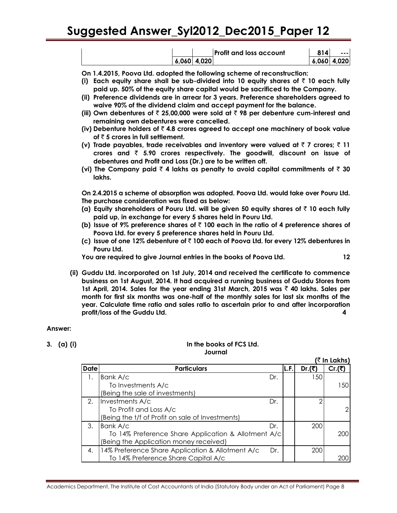|  |               | <b>Profit and loss account</b> | 814 | --- 1         |
|--|---------------|--------------------------------|-----|---------------|
|  | $6.060$ 4.020 |                                |     | $6.060$ 4.020 |

**On 1.4.2015, Poova Ltd. adopted the following scheme of reconstruction:** 

- **(i)** Each equity share shall be sub-divided into 10 equity shares of  $\bar{\tau}$  10 each fully **paid up. 50% of the equity share capital would be sacrificed to the Company.**
- **(ii) Preference dividends are in arrear for 3 years. Preference shareholders agreed to waive 90% of the dividend claim and accept payment for the balance.**
- **(iii) Own debentures of** ` **25,00,000 were sold at** ` **98 per debenture cum-interest and remaining own debentures were cancelled.**
- **(iv) Debenture holders of** ` **4.8 crores agreed to accept one machinery of book value of** ` **5 crores in full settlement.**
- **(v)** Trade payables, trade receivables and inventory were valued at  $\bar{\tau}$  7 crores;  $\bar{\tau}$  11 **crores and** ` **5.90 crores respectively. The goodwill, discount on issue of debentures and Profit and Loss (Dr.) are to be written off.**
- (vi) The Company paid  $\bar{\tau}$  4 lakhs as penalty to avoid capital commitments of  $\bar{\tau}$  30 **lakhs.**

**On 2.4.2015 a scheme of absorption was adopted. Poova Ltd. would take over Pouru Ltd. The purchase consideration was fixed as below:**

- **(a) Equity shareholders of Pouru Ltd. will be given 50 equity shares of** ` **10 each fully paid up, in exchange for every 5 shares held in Pouru Ltd.**
- **(b)** Issue of 9% preference shares of  $\bar{\tau}$  100 each in the ratio of 4 preference shares of **Poova Ltd. for every 5 preference shares held in Pouru Ltd.**
- **(c) Issue of one 12% debenture of** ` **100 each of Poova Ltd. for every 12% debentures in Pouru Ltd.**

**You are required to give Journal entries in the books of Poova Ltd. 12**

**(ii) Guddu Ltd. incorporated on 1st July, 2014 and received the certificate to commence business on 1st August, 2014. It had acquired a running business of Guddu Stores from 1st April, 2014. Sales for the year ending 31st March, 2015 was** ` **40 lakhs. Sales per month for first six months was one-half of the monthly sales for last six months of the year. Calculate time ratio and sales ratio to ascertain prior to and after incorporation profit/loss of the Guddu Ltd. 4**

#### **Answer:**

#### **3. (a) (i) In the books of FCS Ltd. Journal**

 $\sqrt{2}$  **In Lake** 

|             |                                                     |     |      |                | <b>SILLAND</b> |
|-------------|-----------------------------------------------------|-----|------|----------------|----------------|
| <b>Date</b> | <b>Particulars</b>                                  |     | L.F. | Dr. $($ ₹)     | Cr.(₹)         |
|             | Bank A/c                                            | Dr. |      | 150            |                |
|             | To Investments A/c                                  |     |      |                | 150            |
|             | (Being the sale of investments)                     |     |      |                |                |
| 2.          | Investments A/c                                     | Dr. |      | $\overline{2}$ |                |
|             | To Profit and Loss A/c                              |     |      |                |                |
|             | (Being the t/f of Profit on sale of Investments)    |     |      |                |                |
| 3.          | Bank A/c                                            | Dr. |      | 200            |                |
|             | To 14% Preference Share Application & Allotment A/c |     |      |                | 200            |
|             | (Being the Application money received)              |     |      |                |                |
| 4.          | 14% Preference Share Application & Allotment A/c    | Dr. |      | 200            |                |
|             | To 14% Preference Share Capital A/c                 |     |      |                |                |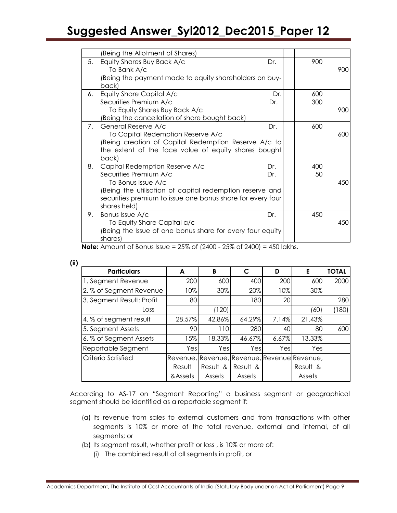|    | (Being the Allotment of Shares)                            |     |     |     |
|----|------------------------------------------------------------|-----|-----|-----|
| 5. | Equity Shares Buy Back A/c                                 | Dr. | 900 |     |
|    | To Bank A/c                                                |     |     | 900 |
|    | Being the payment made to equity shareholders on buy-      |     |     |     |
|    | back)                                                      |     |     |     |
| 6. | Equity Share Capital A/c                                   | Dr. | 600 |     |
|    | Securities Premium A/c                                     | Dr. | 300 |     |
|    | To Equity Shares Buy Back A/c                              |     |     | 900 |
|    | (Being the cancellation of share bought back)              |     |     |     |
| 7. | General Reserve A/c                                        | Dr. | 600 |     |
|    | To Capital Redemption Reserve A/c                          |     |     | 600 |
|    | (Being creation of Capital Redemption Reserve A/c to       |     |     |     |
|    | the extent of the face value of equity shares bought       |     |     |     |
|    | back)                                                      |     |     |     |
| 8. | Capital Redemption Reserve A/c                             | Dr. | 400 |     |
|    | Securities Premium A/c                                     | Dr. | 50  |     |
|    | To Bonus Issue A/c                                         |     |     | 450 |
|    | (Being the utilisation of capital redemption reserve and   |     |     |     |
|    | securities premium to issue one bonus share for every four |     |     |     |
|    | shares held)                                               |     |     |     |
| 9. | Bonus Issue A/c                                            | Dr. | 450 |     |
|    | To Equity Share Capital a/c                                |     |     | 450 |
|    | (Being the Issue of one bonus share for every four equity) |     |     |     |
|    | shares)                                                    |     |     |     |

**Note:** Amount of Bonus Issue = 25% of (2400 - 25% of 2400) = 450 lakhs.

| <b>Particulars</b>        | A        | B        | C        | D        | Е                                           | <b>TOTAL</b> |
|---------------------------|----------|----------|----------|----------|---------------------------------------------|--------------|
| 1. Segment Revenue        | 200      | 600      | 400      | 200      | 600                                         | 2000         |
| 2. % of Segment Revenue   | 10%      | 30%      | 20%      | 10%      | 30%                                         |              |
| 3. Segment Result: Profit | 80       |          | 180      | 20       |                                             | 280          |
| Loss                      |          | (120)    |          |          | (60)                                        | (180)        |
| 4. % of segment result    | 28.57%   | 42.86%   | 64.29%   | 7.14%    | 21.43%                                      |              |
| 5. Segment Assets         | 90       | 110      | 280      | 40       | 80                                          | 600          |
| 6. % of Segment Assets    | 15%      | 18.33%   | 46.67%   | $6.67\%$ | 13.33%                                      |              |
| Reportable Segment        | Yes      | Yes      | Yes      | Yesl     | Yesl                                        |              |
| Criteria Satisfied        |          |          |          |          | Revenue, Revenue, Revenue, Revenue Revenue, |              |
|                           | Result   | Result & | Result & |          | Result &                                    |              |
|                           | & Assets | Assets   | Assets   |          | Assets                                      |              |

According to AS-17 on "Segment Reporting" a business segment or geographical segment should be identified as a reportable segment if:

- (a) Its revenue from sales to external customers and from transactions with other segments is 10% or more of the total revenue, external and internal, of all segments; or
- (b) Its segment result, whether profit or loss , is 10% or more of:
	- (i) The combined result of all segments in profit, or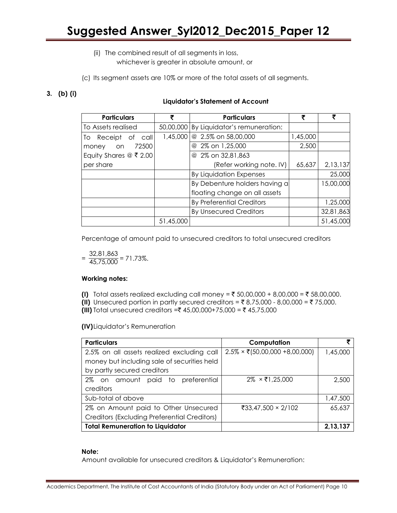- (ii) The combined result of all segments in loss, whichever is greater in absolute amount, or
- (c) Its segment assets are 10% or more of the total assets of all segments.

### **3. (b) (i)**

#### **Liquidator's Statement of Account**

| <b>Particulars</b>       |           | <b>Particulars</b>               |          |           |
|--------------------------|-----------|----------------------------------|----------|-----------|
| To Assets realised       | 50,00,000 | By Liquidator's remuneration:    |          |           |
| Receipt of<br>To<br>call | 1,45,000  | @ 2.5% on 58,00,000              | 1,45,000 |           |
| 72500<br>on<br>money     |           | @ 2% on 1,25,000                 | 2,500    |           |
| Equity Shares $@$ ₹ 2.00 |           | @ 2% on 32,81,863                |          |           |
| per share                |           | (Refer working note. IV)         | 65,637   | 2,13,137  |
|                          |           | <b>By Liquidation Expenses</b>   |          | 25,000    |
|                          |           | By Debenture holders having a    |          | 15,00,000 |
|                          |           | floating change on all assets    |          |           |
|                          |           | <b>By Preferential Creditors</b> |          | 1,25,000  |
|                          |           | <b>By Unsecured Creditors</b>    |          | 32,81,863 |
|                          | 51,45,000 |                                  |          | 51,45,000 |

Percentage of amount paid to unsecured creditors to total unsecured creditors

 $=\frac{32,81,863}{45,75,000}$  $\frac{627.01,000}{45,75,000}$  = 71.73%.

#### **Working notes:**

- **(I)** Total assets realized excluding call money =  $\bar{\tau}$  50,00,000 + 8,00,000 =  $\bar{\tau}$  58,00,000.
- **(II)** Unsecured portion in partly secured creditors =  $\bar{\tau}$  8,75,000 8,00,000 =  $\bar{\tau}$  75,000.
- **(III)** Total unsecured creditors =₹ 45,00,000+75,000 = ₹ 45,75,000

**(IV)**Liquidator's Remuneration

| <b>Particulars</b>                                                                                 | Computation                                         |          |  |
|----------------------------------------------------------------------------------------------------|-----------------------------------------------------|----------|--|
| 2.5% on all assets realized excluding call                                                         | $2.5\% \times \overline{\xi}$ (50,00,000 +8,00,000) | 1,45,000 |  |
| money but including sale of securities held                                                        |                                                     |          |  |
| by partly secured creditors                                                                        |                                                     |          |  |
| 2% on amount paid to preferential<br>$2\% \times \overline{\overline{\epsilon}}$ 1,25,000<br>2,500 |                                                     |          |  |
| creditors                                                                                          |                                                     |          |  |
| Sub-total of above                                                                                 |                                                     | 1,47,500 |  |
| 2% on Amount paid to Other Unsecured                                                               | ₹33,47,500 × 2/102                                  | 65,637   |  |
| Creditors (Excluding Preferential Creditors)                                                       |                                                     |          |  |
| <b>Total Remuneration to Liquidator</b>                                                            |                                                     | 2,13,137 |  |

#### **Note:**

Amount available for unsecured creditors & Liquidator's Remuneration: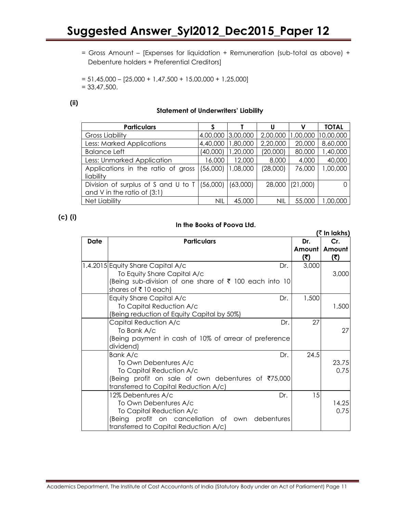= Gross Amount – [Expenses for liquidation + Remuneration (sub-total as above) + Debenture holders + Preferential Creditors]

 $= 51,45,000 - [25,000 + 1,47,500 + 15,00,000 + 1,25,000]$  $= 33,47,500.$ 

#### **(ii)**

#### **Statement of Underwriters' Liability**

| <b>Particulars</b>                             |            |          |            | v        | <b>TOTAL</b> |
|------------------------------------------------|------------|----------|------------|----------|--------------|
| <b>Gross Liability</b>                         | 4,00,000   | 3,00,000 | 2,00,000   | 1,00,000 | 10,00,000    |
| Less: Marked Applications                      | 4,40,000   | 1,80,000 | 2,20,000   | 20,000   | 8,60,000     |
| <b>Balance Left</b>                            | (40,000)   | 1,20,000 | (20,000)   | 80,000   | 1,40,000     |
| Less: Unmarked Application                     | 16,000     | 12,000   | 8,000      | 4,000    | 40,000       |
| Applications in the ratio of gross             | (56,000)   | 1,08,000 | (28,000)   | 76,000   | 00,000,1     |
| liability                                      |            |          |            |          |              |
| Division of surplus of S and U to T $(56,000)$ |            | (63,000) | 28,000     | (21,000) |              |
| and V in the ratio of $(3:1)$                  |            |          |            |          |              |
| <b>Net Liability</b>                           | <b>NIL</b> | 45,000   | <b>NIL</b> | 55,000   | ,00,000      |

**(c) (i)**

#### **In the Books of Poova Ltd.**

|             |                                                                                                                                                                            |                      | $($ ₹ In lakhs)      |
|-------------|----------------------------------------------------------------------------------------------------------------------------------------------------------------------------|----------------------|----------------------|
| <b>Date</b> | <b>Particulars</b>                                                                                                                                                         | Dr.<br>Amount<br>(₹) | Cr.<br>Amount<br>(₹) |
|             | 1.4.2015 Equity Share Capital A/c<br>Dr.<br>To Equity Share Capital A/c<br>(Being sub-division of one share of ₹ 100 each into 10<br>shares of ₹10 each)                   | 3,000                | 3,000                |
|             | Equity Share Capital A/c<br>Dr.<br>To Capital Reduction A/c<br>(Being reduction of Equity Capital by 50%)                                                                  | 1,500                | 1,500                |
|             | Capital Reduction A/c<br>Dr.<br>To Bank A/c<br>(Being payment in cash of 10% of arrear of preference<br>dividend)                                                          | 27                   | 27                   |
|             | Bank A/c<br>Dr.<br>To Own Debentures A/c<br>To Capital Reduction A/c<br>(Being profit on sale of own debentures of ₹75,000<br>transferred to Capital Reduction A/c)        | 24.5                 | 23.75<br>0.75        |
|             | 12% Debentures A/c<br>Dr.<br>To Own Debentures A/c<br>To Capital Reduction A/c<br>(Being profit on cancellation of own debentures<br>transferred to Capital Reduction A/c) | 15                   | 14.25<br>0.75        |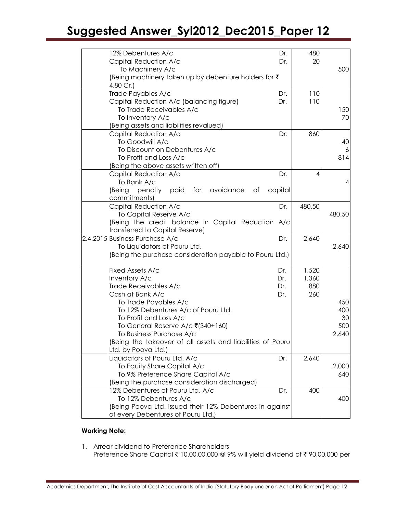| 480<br>12% Debentures A/c<br>Dr.<br>Capital Reduction A/c<br>20<br>Dr.<br>To Machinery A/c<br>500<br>(Being machinery taken up by debenture holders for ₹<br>4.80 Cr.)<br>Trade Payables A/c<br>110<br>Dr.<br>Capital Reduction A/c (balancing figure)<br>110<br>Dr.<br>To Trade Receivables A/c<br>150<br>70<br>To Inventory A/c<br>(Being assets and liabilities revalued)<br>Capital Reduction A/c<br>860<br>Dr.<br>To Goodwill A/c<br>40<br>To Discount on Debentures A/c<br>To Profit and Loss A/c<br>814<br>(Being the above assets written off)<br>Capital Reduction A/c<br>Dr.<br>$\overline{4}$<br>To Bank A/c<br>(Being<br>penalty<br>paid<br>for<br>avoidance of<br>capital<br>commitments)<br>Capital Reduction A/c<br>480.50<br>Dr.<br>480.50<br>To Capital Reserve A/c<br>(Being the credit balance in Capital Reduction A/c<br>transferred to Capital Reserve)<br>2.4.2015 Business Purchase A/c<br>Dr.<br>2,640<br>To Liquidators of Pouru Ltd.<br>2,640<br>(Being the purchase consideration payable to Pouru Ltd.)<br>Fixed Assets A/c<br>1,520<br>Dr.<br>Inventory A/c<br>Dr.<br>1,360<br>Trade Receivables A/c<br>880<br>Dr.<br>Cash at Bank A/c<br>Dr.<br>260<br>To Trade Payables A/c<br>To 12% Debentures A/c of Pouru Ltd.<br>To Profit and Loss A/c<br>To General Reserve A/c ₹(340+160)<br>To Business Purchase A/c<br>(Being the takeover of all assets and liabilities of Pouru<br>Ltd. by Poova Ltd.)<br>Liquidators of Pouru Ltd. A/c<br>2,640<br>Dr.<br>To Equity Share Capital A/c<br>To 9% Preference Share Capital A/c<br>(Being the purchase consideration discharged)<br>12% Debentures of Pouru Ltd. A/c<br>400<br>Dr.<br>To 12% Debentures A/c<br>400<br>(Being Poova Ltd. issued their 12% Debentures in against<br>of every Debentures of Pouru Ltd.) |  |  |       |
|-----------------------------------------------------------------------------------------------------------------------------------------------------------------------------------------------------------------------------------------------------------------------------------------------------------------------------------------------------------------------------------------------------------------------------------------------------------------------------------------------------------------------------------------------------------------------------------------------------------------------------------------------------------------------------------------------------------------------------------------------------------------------------------------------------------------------------------------------------------------------------------------------------------------------------------------------------------------------------------------------------------------------------------------------------------------------------------------------------------------------------------------------------------------------------------------------------------------------------------------------------------------------------------------------------------------------------------------------------------------------------------------------------------------------------------------------------------------------------------------------------------------------------------------------------------------------------------------------------------------------------------------------------------------------------------------------------------------------------------------------------------------------------------------------|--|--|-------|
|                                                                                                                                                                                                                                                                                                                                                                                                                                                                                                                                                                                                                                                                                                                                                                                                                                                                                                                                                                                                                                                                                                                                                                                                                                                                                                                                                                                                                                                                                                                                                                                                                                                                                                                                                                                               |  |  |       |
|                                                                                                                                                                                                                                                                                                                                                                                                                                                                                                                                                                                                                                                                                                                                                                                                                                                                                                                                                                                                                                                                                                                                                                                                                                                                                                                                                                                                                                                                                                                                                                                                                                                                                                                                                                                               |  |  |       |
|                                                                                                                                                                                                                                                                                                                                                                                                                                                                                                                                                                                                                                                                                                                                                                                                                                                                                                                                                                                                                                                                                                                                                                                                                                                                                                                                                                                                                                                                                                                                                                                                                                                                                                                                                                                               |  |  |       |
|                                                                                                                                                                                                                                                                                                                                                                                                                                                                                                                                                                                                                                                                                                                                                                                                                                                                                                                                                                                                                                                                                                                                                                                                                                                                                                                                                                                                                                                                                                                                                                                                                                                                                                                                                                                               |  |  |       |
|                                                                                                                                                                                                                                                                                                                                                                                                                                                                                                                                                                                                                                                                                                                                                                                                                                                                                                                                                                                                                                                                                                                                                                                                                                                                                                                                                                                                                                                                                                                                                                                                                                                                                                                                                                                               |  |  |       |
|                                                                                                                                                                                                                                                                                                                                                                                                                                                                                                                                                                                                                                                                                                                                                                                                                                                                                                                                                                                                                                                                                                                                                                                                                                                                                                                                                                                                                                                                                                                                                                                                                                                                                                                                                                                               |  |  |       |
|                                                                                                                                                                                                                                                                                                                                                                                                                                                                                                                                                                                                                                                                                                                                                                                                                                                                                                                                                                                                                                                                                                                                                                                                                                                                                                                                                                                                                                                                                                                                                                                                                                                                                                                                                                                               |  |  |       |
|                                                                                                                                                                                                                                                                                                                                                                                                                                                                                                                                                                                                                                                                                                                                                                                                                                                                                                                                                                                                                                                                                                                                                                                                                                                                                                                                                                                                                                                                                                                                                                                                                                                                                                                                                                                               |  |  |       |
|                                                                                                                                                                                                                                                                                                                                                                                                                                                                                                                                                                                                                                                                                                                                                                                                                                                                                                                                                                                                                                                                                                                                                                                                                                                                                                                                                                                                                                                                                                                                                                                                                                                                                                                                                                                               |  |  |       |
|                                                                                                                                                                                                                                                                                                                                                                                                                                                                                                                                                                                                                                                                                                                                                                                                                                                                                                                                                                                                                                                                                                                                                                                                                                                                                                                                                                                                                                                                                                                                                                                                                                                                                                                                                                                               |  |  |       |
|                                                                                                                                                                                                                                                                                                                                                                                                                                                                                                                                                                                                                                                                                                                                                                                                                                                                                                                                                                                                                                                                                                                                                                                                                                                                                                                                                                                                                                                                                                                                                                                                                                                                                                                                                                                               |  |  |       |
|                                                                                                                                                                                                                                                                                                                                                                                                                                                                                                                                                                                                                                                                                                                                                                                                                                                                                                                                                                                                                                                                                                                                                                                                                                                                                                                                                                                                                                                                                                                                                                                                                                                                                                                                                                                               |  |  |       |
|                                                                                                                                                                                                                                                                                                                                                                                                                                                                                                                                                                                                                                                                                                                                                                                                                                                                                                                                                                                                                                                                                                                                                                                                                                                                                                                                                                                                                                                                                                                                                                                                                                                                                                                                                                                               |  |  | 6     |
|                                                                                                                                                                                                                                                                                                                                                                                                                                                                                                                                                                                                                                                                                                                                                                                                                                                                                                                                                                                                                                                                                                                                                                                                                                                                                                                                                                                                                                                                                                                                                                                                                                                                                                                                                                                               |  |  |       |
|                                                                                                                                                                                                                                                                                                                                                                                                                                                                                                                                                                                                                                                                                                                                                                                                                                                                                                                                                                                                                                                                                                                                                                                                                                                                                                                                                                                                                                                                                                                                                                                                                                                                                                                                                                                               |  |  |       |
|                                                                                                                                                                                                                                                                                                                                                                                                                                                                                                                                                                                                                                                                                                                                                                                                                                                                                                                                                                                                                                                                                                                                                                                                                                                                                                                                                                                                                                                                                                                                                                                                                                                                                                                                                                                               |  |  |       |
|                                                                                                                                                                                                                                                                                                                                                                                                                                                                                                                                                                                                                                                                                                                                                                                                                                                                                                                                                                                                                                                                                                                                                                                                                                                                                                                                                                                                                                                                                                                                                                                                                                                                                                                                                                                               |  |  | 4     |
|                                                                                                                                                                                                                                                                                                                                                                                                                                                                                                                                                                                                                                                                                                                                                                                                                                                                                                                                                                                                                                                                                                                                                                                                                                                                                                                                                                                                                                                                                                                                                                                                                                                                                                                                                                                               |  |  |       |
|                                                                                                                                                                                                                                                                                                                                                                                                                                                                                                                                                                                                                                                                                                                                                                                                                                                                                                                                                                                                                                                                                                                                                                                                                                                                                                                                                                                                                                                                                                                                                                                                                                                                                                                                                                                               |  |  |       |
|                                                                                                                                                                                                                                                                                                                                                                                                                                                                                                                                                                                                                                                                                                                                                                                                                                                                                                                                                                                                                                                                                                                                                                                                                                                                                                                                                                                                                                                                                                                                                                                                                                                                                                                                                                                               |  |  |       |
|                                                                                                                                                                                                                                                                                                                                                                                                                                                                                                                                                                                                                                                                                                                                                                                                                                                                                                                                                                                                                                                                                                                                                                                                                                                                                                                                                                                                                                                                                                                                                                                                                                                                                                                                                                                               |  |  |       |
|                                                                                                                                                                                                                                                                                                                                                                                                                                                                                                                                                                                                                                                                                                                                                                                                                                                                                                                                                                                                                                                                                                                                                                                                                                                                                                                                                                                                                                                                                                                                                                                                                                                                                                                                                                                               |  |  |       |
|                                                                                                                                                                                                                                                                                                                                                                                                                                                                                                                                                                                                                                                                                                                                                                                                                                                                                                                                                                                                                                                                                                                                                                                                                                                                                                                                                                                                                                                                                                                                                                                                                                                                                                                                                                                               |  |  |       |
|                                                                                                                                                                                                                                                                                                                                                                                                                                                                                                                                                                                                                                                                                                                                                                                                                                                                                                                                                                                                                                                                                                                                                                                                                                                                                                                                                                                                                                                                                                                                                                                                                                                                                                                                                                                               |  |  |       |
|                                                                                                                                                                                                                                                                                                                                                                                                                                                                                                                                                                                                                                                                                                                                                                                                                                                                                                                                                                                                                                                                                                                                                                                                                                                                                                                                                                                                                                                                                                                                                                                                                                                                                                                                                                                               |  |  |       |
|                                                                                                                                                                                                                                                                                                                                                                                                                                                                                                                                                                                                                                                                                                                                                                                                                                                                                                                                                                                                                                                                                                                                                                                                                                                                                                                                                                                                                                                                                                                                                                                                                                                                                                                                                                                               |  |  |       |
|                                                                                                                                                                                                                                                                                                                                                                                                                                                                                                                                                                                                                                                                                                                                                                                                                                                                                                                                                                                                                                                                                                                                                                                                                                                                                                                                                                                                                                                                                                                                                                                                                                                                                                                                                                                               |  |  |       |
|                                                                                                                                                                                                                                                                                                                                                                                                                                                                                                                                                                                                                                                                                                                                                                                                                                                                                                                                                                                                                                                                                                                                                                                                                                                                                                                                                                                                                                                                                                                                                                                                                                                                                                                                                                                               |  |  |       |
|                                                                                                                                                                                                                                                                                                                                                                                                                                                                                                                                                                                                                                                                                                                                                                                                                                                                                                                                                                                                                                                                                                                                                                                                                                                                                                                                                                                                                                                                                                                                                                                                                                                                                                                                                                                               |  |  |       |
|                                                                                                                                                                                                                                                                                                                                                                                                                                                                                                                                                                                                                                                                                                                                                                                                                                                                                                                                                                                                                                                                                                                                                                                                                                                                                                                                                                                                                                                                                                                                                                                                                                                                                                                                                                                               |  |  |       |
|                                                                                                                                                                                                                                                                                                                                                                                                                                                                                                                                                                                                                                                                                                                                                                                                                                                                                                                                                                                                                                                                                                                                                                                                                                                                                                                                                                                                                                                                                                                                                                                                                                                                                                                                                                                               |  |  | 450   |
|                                                                                                                                                                                                                                                                                                                                                                                                                                                                                                                                                                                                                                                                                                                                                                                                                                                                                                                                                                                                                                                                                                                                                                                                                                                                                                                                                                                                                                                                                                                                                                                                                                                                                                                                                                                               |  |  | 400   |
|                                                                                                                                                                                                                                                                                                                                                                                                                                                                                                                                                                                                                                                                                                                                                                                                                                                                                                                                                                                                                                                                                                                                                                                                                                                                                                                                                                                                                                                                                                                                                                                                                                                                                                                                                                                               |  |  | 30    |
|                                                                                                                                                                                                                                                                                                                                                                                                                                                                                                                                                                                                                                                                                                                                                                                                                                                                                                                                                                                                                                                                                                                                                                                                                                                                                                                                                                                                                                                                                                                                                                                                                                                                                                                                                                                               |  |  | 500   |
|                                                                                                                                                                                                                                                                                                                                                                                                                                                                                                                                                                                                                                                                                                                                                                                                                                                                                                                                                                                                                                                                                                                                                                                                                                                                                                                                                                                                                                                                                                                                                                                                                                                                                                                                                                                               |  |  | 2,640 |
|                                                                                                                                                                                                                                                                                                                                                                                                                                                                                                                                                                                                                                                                                                                                                                                                                                                                                                                                                                                                                                                                                                                                                                                                                                                                                                                                                                                                                                                                                                                                                                                                                                                                                                                                                                                               |  |  |       |
|                                                                                                                                                                                                                                                                                                                                                                                                                                                                                                                                                                                                                                                                                                                                                                                                                                                                                                                                                                                                                                                                                                                                                                                                                                                                                                                                                                                                                                                                                                                                                                                                                                                                                                                                                                                               |  |  |       |
|                                                                                                                                                                                                                                                                                                                                                                                                                                                                                                                                                                                                                                                                                                                                                                                                                                                                                                                                                                                                                                                                                                                                                                                                                                                                                                                                                                                                                                                                                                                                                                                                                                                                                                                                                                                               |  |  |       |
|                                                                                                                                                                                                                                                                                                                                                                                                                                                                                                                                                                                                                                                                                                                                                                                                                                                                                                                                                                                                                                                                                                                                                                                                                                                                                                                                                                                                                                                                                                                                                                                                                                                                                                                                                                                               |  |  | 2,000 |
|                                                                                                                                                                                                                                                                                                                                                                                                                                                                                                                                                                                                                                                                                                                                                                                                                                                                                                                                                                                                                                                                                                                                                                                                                                                                                                                                                                                                                                                                                                                                                                                                                                                                                                                                                                                               |  |  | 640   |
|                                                                                                                                                                                                                                                                                                                                                                                                                                                                                                                                                                                                                                                                                                                                                                                                                                                                                                                                                                                                                                                                                                                                                                                                                                                                                                                                                                                                                                                                                                                                                                                                                                                                                                                                                                                               |  |  |       |
|                                                                                                                                                                                                                                                                                                                                                                                                                                                                                                                                                                                                                                                                                                                                                                                                                                                                                                                                                                                                                                                                                                                                                                                                                                                                                                                                                                                                                                                                                                                                                                                                                                                                                                                                                                                               |  |  |       |
|                                                                                                                                                                                                                                                                                                                                                                                                                                                                                                                                                                                                                                                                                                                                                                                                                                                                                                                                                                                                                                                                                                                                                                                                                                                                                                                                                                                                                                                                                                                                                                                                                                                                                                                                                                                               |  |  |       |
|                                                                                                                                                                                                                                                                                                                                                                                                                                                                                                                                                                                                                                                                                                                                                                                                                                                                                                                                                                                                                                                                                                                                                                                                                                                                                                                                                                                                                                                                                                                                                                                                                                                                                                                                                                                               |  |  |       |
|                                                                                                                                                                                                                                                                                                                                                                                                                                                                                                                                                                                                                                                                                                                                                                                                                                                                                                                                                                                                                                                                                                                                                                                                                                                                                                                                                                                                                                                                                                                                                                                                                                                                                                                                                                                               |  |  |       |

#### **Working Note:**

1. Arrear dividend to Preference Shareholders Preference Share Capital ₹ 10,00,00,000 @ 9% will yield dividend of ₹ 90,00,000 per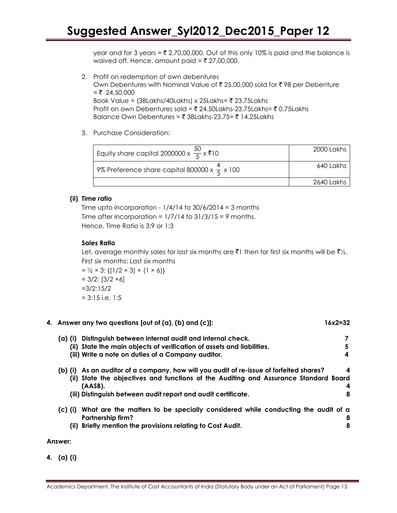year and for 3 years =  $\overline{\tau}$  2,70,00,000. Out of this only 10% is paid and the balance is waived off. Hence, amount paid =  $\overline{\xi}$  27,00,000.

- 2. Profit on redemption of own debentures Own Debentures with Nominal Value of  $\bar{\tau}$  25,00,000 sold for  $\bar{\tau}$  98 per Debenture  $=$  ₹ 24,50,000 Book Value =  $(38$ Lakhs/40Lakhs) x 25Lakhs=  $\bar{\tau}$  23.75Lakhs Profit on own Debentures sold =  $\overline{5}$  24.50Lakhs-23.75Lakhs=  $\overline{5}$  0.75Lakhs Balance Own Debentures =  $\bar{\tau}$  38Lakhs-23.75=  $\bar{\tau}$  14.25Lakhs
- 3. Purchase Consideration:

| Equity share capital 2000000 x $\frac{50}{5}$ x ₹10        | 2000 Lakhs |
|------------------------------------------------------------|------------|
| , 9% Preference share capital 800000 x $\frac{4}{5}$ x 100 | 640 Lakhs  |
|                                                            | 2640 Lakhs |

#### **(ii) Time ratio**

Time upto incorporation -  $1/4/14$  to  $30/6/2014 = 3$  months Time after incorporation =  $1/7/14$  to  $31/3/15 = 9$  months. Hence, Time Ratio is 3:9 or 1:3

#### **Sales Ratio**

Let, average monthly sales for last six months are  $\bar{\mathfrak{c}}$  then for first six months will be  $\bar{\mathfrak{c}}\mathfrak{b}_2$ . First six months: Last six months

 $= \frac{1}{2} \times 3$ : {(1/2 × 3) + (1 × 6)}  $= 3/2$ :  $[3/2 +6]$ =3/2:15/2  $= 3:15$  i.e. 1:5

| $(a)$ (i) | Distinguish between internal audit and internal check.                                          |   |
|-----------|-------------------------------------------------------------------------------------------------|---|
|           | (ii) State the main objects of verification of assets and liabilities.                          | 5 |
|           | (iii) Write a note on duties of a Company auditor.                                              | 4 |
| $(b)$ (i) | As an auditor of a company, how will you audit of re-issue of forfeited shares?                 | 4 |
|           | (ii) State the objectives and functions of the Auditing and Assurance Standard Board<br>(AASB). | 4 |
|           | (iii) Distinguish between audit report and audit certificate.                                   | 8 |
| $(c)$ (i) | What are the matters to be specially considered while conducting the audit of a                 |   |
|           | Partnership firm?                                                                               | 8 |
| (ii)      | Briefly mention the provisions relating to Cost Audit.                                          | 8 |
|           |                                                                                                 |   |

**4. Answer any two questions [out of (a), (b) and (c)]: 16x2=32**

**Answer:**

**4. (a) (i)**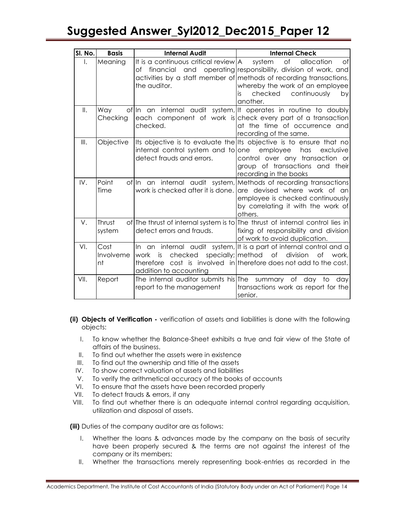| SI. No.      | <b>Basis</b>            | <b>Internal Audit</b>                                                              | <b>Internal Check</b>                                                                                                                                                                                                                           |
|--------------|-------------------------|------------------------------------------------------------------------------------|-------------------------------------------------------------------------------------------------------------------------------------------------------------------------------------------------------------------------------------------------|
| $\mathsf{L}$ | Meaning                 | It is a continuous critical review $A$<br>of financial and<br>the auditor.         | system<br>0f<br>of<br>allocation<br>operating responsibility, division of work, and<br>activities by a staff member of methods of recording transactions,<br>whereby the work of an employee<br>checked<br>continuously<br>is<br>by<br>another. |
| II.          | Way<br>Checking         | checked.                                                                           | of In an internal audit system, It operates in routine to doubly<br>each component of work is check every part of a transaction<br>at the time of occurrence and<br>recording of the same.                                                      |
| III.         | Objective               | internal control system and to one<br>detect frauds and errors.                    | Its objective is to evaluate the Its objective is to ensure that no<br>employee<br>has<br>exclusive<br>control over any transaction or<br>group of transactions and their<br>recording in the books                                             |
| IV.          | Point<br>Time           |                                                                                    | of In an internal audit system, Methods of recording transactions<br>work is checked after it is done. are devised where work of an<br>employee is checked continuously<br>by correlating it with the work of<br>others.                        |
| V.           | Thrust<br>system        | detect errors and frauds.                                                          | of The thrust of internal system is to The thrust of internal control lies in<br>fixing of responsibility and division<br>of work to avoid duplication.                                                                                         |
| VI.          | Cost<br>Involveme<br>nt | checked<br>is<br>work<br>addition to accounting                                    | In an internal audit system, It is a part of internal control and a<br>specially; method of<br>division<br>of work,<br>therefore cost is involved in therefore does not add to the cost.                                                        |
| VII.         | Report                  | The internal auditor submits his The summary of day to<br>report to the management | dav<br>transactions work as report for the<br>senior.                                                                                                                                                                                           |

- **(ii) Objects of Verification -** verification of assets and liabilities is done with the following objects:
	- I. To know whether the Balance-Sheet exhibits a true and fair view of the State of affairs of the business.
	- II. To find out whether the assets were in existence
	- III. To find out the ownership and title of the assets
	- IV. To show correct valuation of assets and liabilities
	- V. To verify the arithmetical accuracy of the books of accounts
	- VI. To ensure that the assets have been recorded properly
- VII. To detect frauds & errors, if any
- VIII. To find out whether there is an adequate internal control regarding acquisition, utilization and disposal of assets.

**(iii)** Duties of the company auditor are as follows:

- I. Whether the loans & advances made by the company on the basis of security have been properly secured & the terms are not against the interest of the company or its members;
- II. Whether the transactions merely representing book-entries as recorded in the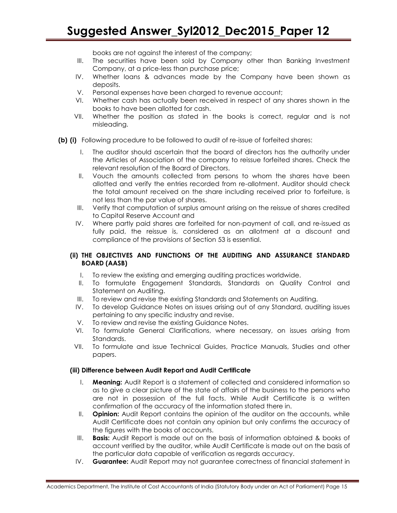books are not against the interest of the company;

- III. The securities have been sold by Company other than Banking Investment Company, at a price-less than purchase price;
- IV. Whether loans & advances made by the Company have been shown as deposits.
- V. Personal expenses have been charged to revenue account;
- VI. Whether cash has actually been received in respect of any shares shown in the books to have been allotted for cash.
- VII. Whether the position as stated in the books is correct, regular and is not misleading.
- **(b) (i)** Following procedure to be followed to audit of re-issue of forfeited shares:
	- I. The auditor should ascertain that the board of directors has the authority under the Articles of Association of the company to reissue forfeited shares. Check the relevant resolution of the Board of Directors.
	- II. Vouch the amounts collected from persons to whom the shares have been allotted and verify the entries recorded from re-allotment. Auditor should check the total amount received on the share including received prior to forfeiture, is not less than the par value of shares.
	- III. Verify that computation of surplus amount arising on the reissue of shares credited to Capital Reserve Account and
	- IV. Where partly paid shares are forfeited for non-payment of call, and re-issued as fully paid, the reissue is, considered as an allotment at a discount and compliance of the provisions of Section 53 is essential.

#### **(ii) THE OBJECTIVES AND FUNCTIONS OF THE AUDITING AND ASSURANCE STANDARD BOARD (AASB)**

- I. To review the existing and emerging auditing practices worldwide.
- II. To formulate Engagement Standards, Standards on Quality Control and Statement on Auditing.
- III. To review and revise the existing Standards and Statements on Auditing.
- IV. To develop Guidance Notes on issues arising out of any Standard, auditing issues pertaining to any specific industry and revise.
- V. To review and revise the existing Guidance Notes.
- VI. To formulate General Clarifications, where necessary, on issues arising from Standards.
- VII. To formulate and issue Technical Guides, Practice Manuals, Studies and other papers.

#### **(iii) Difference between Audit Report and Audit Certificate**

- I. **Meaning:** Audit Report is a statement of collected and considered information so as to give a clear picture of the state of affairs of the business to the persons who are not in possession of the full facts. While Audit Certificate is a written confirmation of the accuracy of the information stated there in.
- II. **Opinion:** Audit Report contains the opinion of the auditor on the accounts, while Audit Certificate does not contain any opinion but only confirms the accuracy of the figures with the books of accounts.
- III. **Basis:** Audit Report is made out on the basis of information obtained & books of account verified by the auditor, while Audit Certificate is made out on the basis of the particular data capable of verification as regards accuracy.
- IV. **Guarantee:** Audit Report may not guarantee correctness of financial statement in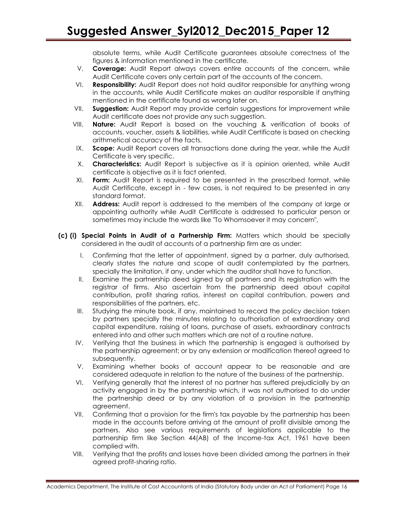absolute terms, while Audit Certificate guarantees absolute correctness of the figures & information mentioned in the certificate.

- V. **Coverage:** Audit Report always covers entire accounts of the concern, while Audit Certificate covers only certain part of the accounts of the concern.
- VI. **Responsibility:** Audit Report does not hold auditor responsible for anything wrong in the accounts, while Audit Certificate makes an auditor responsible if anything mentioned in the certificate found as wrong later on.
- VII. **Suggestion:** Audit Report may provide certain suggestions for improvement while Audit certificate does not provide any such suggestion.
- VIII. **Nature:** Audit Report is based on the vouching & verification of books of accounts, voucher, assets & liabilities, while Audit Certificate is based on checking arithmetical accuracy of the facts.
- IX. **Scope:** Audit Report covers all transactions done during the year, while the Audit Certificate is very specific.
- X. **Characteristics:** Audit Report is subjective as it is opinion oriented, while Audit certificate is objective as it is fact oriented.
- XI. **Form:** Audit Report is required to be presented in the prescribed format, while Audit Certificate, except in - few cases, is not required to be presented in any standard format.
- XII. **Address:** Audit report is addressed to the members of the company at large or appointing authority while Audit Certificate is addressed to particular person or sometimes may include the words like "To Whomsoever it may concern",
- **(c) (i) Special Points in Audit of a Partnership Firm:** Matters which should be specially considered in the audit of accounts of a partnership firm are as under:
	- I. Confirming that the letter of appointment, signed by a partner, duly authorised, clearly states the nature and scope of audit contemplated by the partners, specially the limitation, if any, under which the auditor shall have to function.
	- II. Examine the partnership deed signed by all partners and its registration with the registrar of firms. Also ascertain from the partnership deed about capital contribution, profit sharing ratios, interest on capital contribution, powers and responsibilities of the partners, etc.
	- III. Studying the minute book, if any, maintained to record the policy decision taken by partners specially the minutes relating to authorisation of extraordinary and capital expenditure, raising of loans, purchase of assets, extraordinary contracts entered into and other such matters which are not of a routine nature.
	- IV. Verifying that the business in which the partnership is engaged is authorised by the partnership agreement; or by any extension or modification thereof agreed to subsequently.
	- V. Examining whether books of account appear to be reasonable and are considered adequate in relation to the nature of the business of the partnership.
	- VI. Verifying generally that the interest of no partner has suffered prejudicially by an activity engaged in by the partnership which, it was not authorised to do under the partnership deed or by any violation of a provision in the partnership agreement.
	- VII. Confirming that a provision for the firm's tax payable by the partnership has been made in the accounts before arriving at the amount of profit divisible among the partners. Also see various requirements of legislations applicable to the partnership firm like Section 44(AB) of the Income-tax Act, 1961 have been complied with.
	- VIII. Verifying that the profits and losses have been divided among the partners in their agreed profit-sharing ratio.